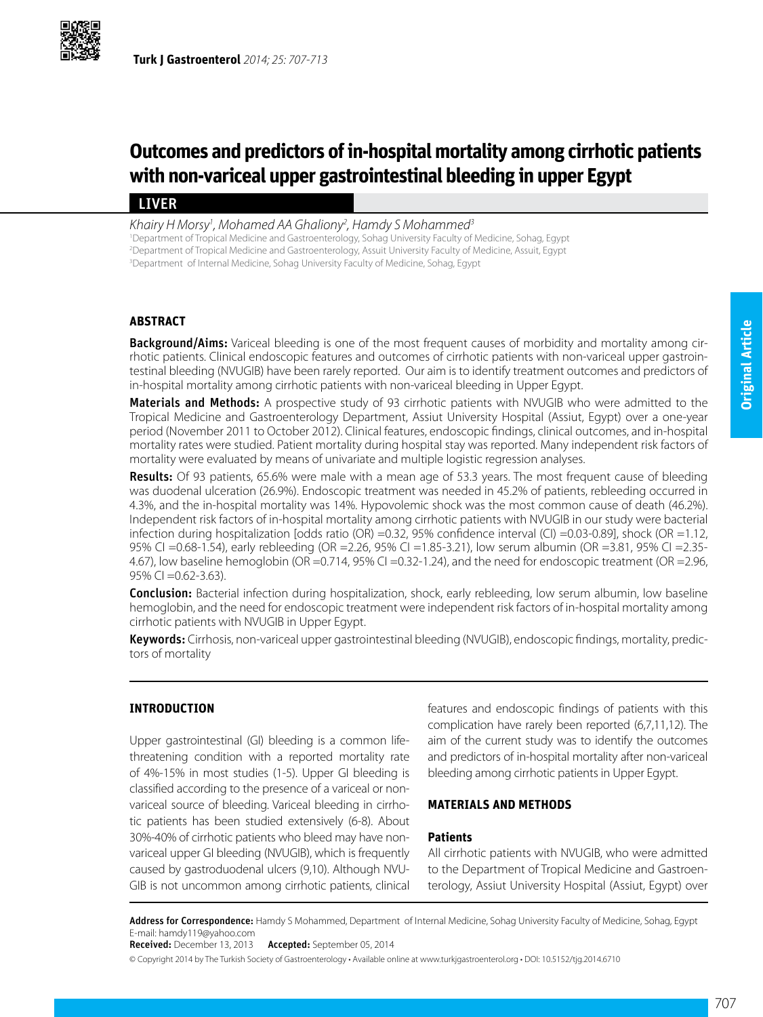

# **Outcomes and predictors of in-hospital mortality among cirrhotic patients with non-variceal upper gastrointestinal bleeding in upper Egypt**

## LIVER

*Khairy H Morsy1 , Mohamed AA Ghaliony2 , Hamdy S Mohammed3*

1 Department of Tropical Medicine and Gastroenterology, Sohag University Faculty of Medicine, Sohag, Egypt 2 Department of Tropical Medicine and Gastroenterology, Assuit University Faculty of Medicine, Assuit, Egypt

3 Department of Internal Medicine, Sohag University Faculty of Medicine, Sohag, Egypt

## **ABSTRACT**

**Background/Aims:** Variceal bleeding is one of the most frequent causes of morbidity and mortality among cirrhotic patients. Clinical endoscopic features and outcomes of cirrhotic patients with non-variceal upper gastrointestinal bleeding (NVUGIB) have been rarely reported. Our aim is to identify treatment outcomes and predictors of in-hospital mortality among cirrhotic patients with non-variceal bleeding in Upper Egypt.

Materials and Methods: A prospective study of 93 cirrhotic patients with NVUGIB who were admitted to the Tropical Medicine and Gastroenterology Department, Assiut University Hospital (Assiut, Egypt) over a one-year period (November 2011 to October 2012). Clinical features, endoscopic findings, clinical outcomes, and in-hospital mortality rates were studied. Patient mortality during hospital stay was reported. Many independent risk factors of mortality were evaluated by means of univariate and multiple logistic regression analyses.

Results: Of 93 patients, 65.6% were male with a mean age of 53.3 years. The most frequent cause of bleeding was duodenal ulceration (26.9%). Endoscopic treatment was needed in 45.2% of patients, rebleeding occurred in 4.3%, and the in-hospital mortality was 14%. Hypovolemic shock was the most common cause of death (46.2%). Independent risk factors of in-hospital mortality among cirrhotic patients with NVUGIB in our study were bacterial infection during hospitalization [odds ratio (OR) =0.32, 95% confidence interval (CI) =0.03-0.89], shock (OR =1.12, 95% CI =0.68-1.54), early rebleeding (OR =2.26, 95% CI =1.85-3.21), low serum albumin (OR =3.81, 95% CI =2.35- 4.67), low baseline hemoglobin (OR =0.714, 95% CI =0.32-1.24), and the need for endoscopic treatment (OR =2.96, 95% CI =0.62-3.63).

**Conclusion:** Bacterial infection during hospitalization, shock, early rebleeding, low serum albumin, low baseline hemoglobin, and the need for endoscopic treatment were independent risk factors of in-hospital mortality among cirrhotic patients with NVUGIB in Upper Egypt.

Keywords: Cirrhosis, non-variceal upper gastrointestinal bleeding (NVUGIB), endoscopic findings, mortality, predictors of mortality

## **INTRODUCTION**

Upper gastrointestinal (GI) bleeding is a common lifethreatening condition with a reported mortality rate of 4%-15% in most studies (1-5). Upper GI bleeding is classified according to the presence of a variceal or nonvariceal source of bleeding. Variceal bleeding in cirrhotic patients has been studied extensively (6-8). About 30%-40% of cirrhotic patients who bleed may have nonvariceal upper GI bleeding (NVUGIB), which is frequently caused by gastroduodenal ulcers (9,10). Although NVU-GIB is not uncommon among cirrhotic patients, clinical

features and endoscopic findings of patients with this complication have rarely been reported (6,7,11,12). The aim of the current study was to identify the outcomes and predictors of in-hospital mortality after non-variceal bleeding among cirrhotic patients in Upper Egypt.

## **MATERIALS AND METHODS**

## **Patients**

All cirrhotic patients with NVUGIB, who were admitted to the Department of Tropical Medicine and Gastroenterology, Assiut University Hospital (Assiut, Egypt) over

Address for Correspondence: Hamdy S Mohammed, Department of Internal Medicine, Sohag University Faculty of Medicine, Sohag, Egypt E-mail: hamdy119@yahoo.com

Received: December 13, 2013 Accepted: September 05, 2014

© Copyright 2014 by The Turkish Society of Gastroenterology • Available online at www.turkjgastroenterol.org • DOI: 10.5152/tjg.2014.6710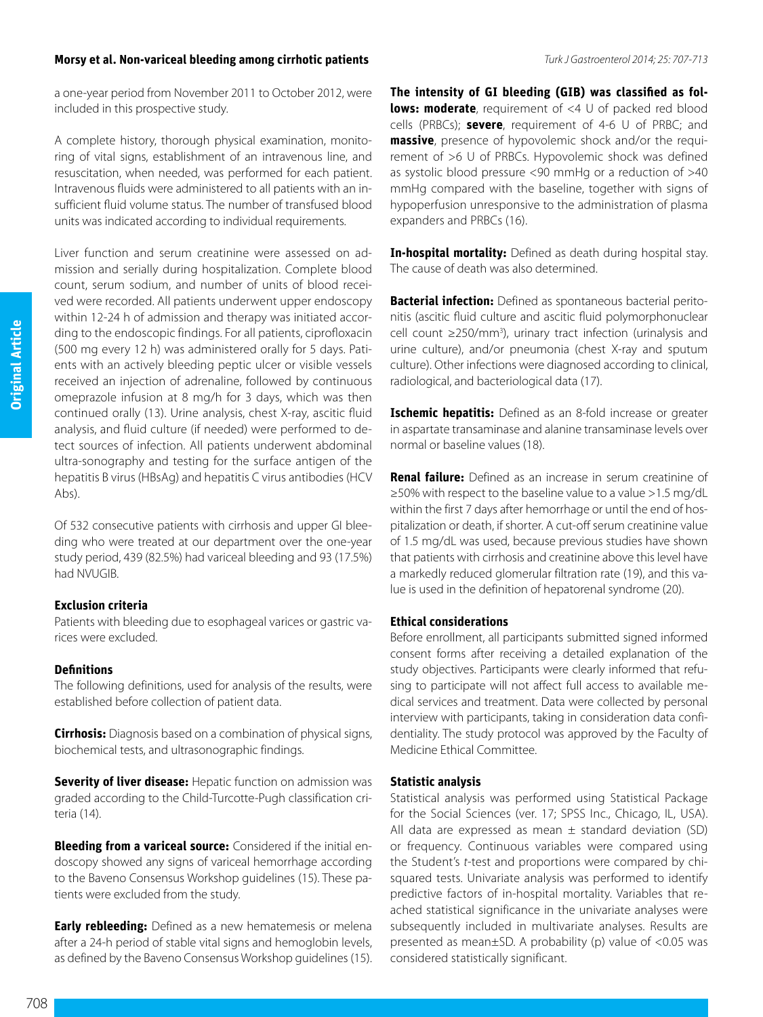### **Morsy et al. Non-variceal bleeding among cirrhotic patients** *Turk J Gastroenterol 2014; 25: 707-713*

a one-year period from November 2011 to October 2012, were included in this prospective study.

A complete history, thorough physical examination, monitoring of vital signs, establishment of an intravenous line, and resuscitation, when needed, was performed for each patient. Intravenous fluids were administered to all patients with an insufficient fluid volume status. The number of transfused blood units was indicated according to individual requirements.

Liver function and serum creatinine were assessed on admission and serially during hospitalization. Complete blood count, serum sodium, and number of units of blood received were recorded. All patients underwent upper endoscopy within 12-24 h of admission and therapy was initiated according to the endoscopic findings. For all patients, ciprofloxacin (500 mg every 12 h) was administered orally for 5 days. Patients with an actively bleeding peptic ulcer or visible vessels received an injection of adrenaline, followed by continuous omeprazole infusion at 8 mg/h for 3 days, which was then continued orally (13). Urine analysis, chest X-ray, ascitic fluid analysis, and fluid culture (if needed) were performed to detect sources of infection. All patients underwent abdominal ultra-sonography and testing for the surface antigen of the hepatitis B virus (HBsAg) and hepatitis C virus antibodies (HCV Abs).

Of 532 consecutive patients with cirrhosis and upper GI bleeding who were treated at our department over the one-year study period, 439 (82.5%) had variceal bleeding and 93 (17.5%) had NVUGIB.

## **Exclusion criteria**

Patients with bleeding due to esophageal varices or gastric varices were excluded.

#### **Definitions**

The following definitions, used for analysis of the results, were established before collection of patient data.

**Cirrhosis:** Diagnosis based on a combination of physical signs, biochemical tests, and ultrasonographic findings.

**Severity of liver disease:** Hepatic function on admission was graded according to the Child-Turcotte-Pugh classification criteria (14).

**Bleeding from a variceal source:** Considered if the initial endoscopy showed any signs of variceal hemorrhage according to the Baveno Consensus Workshop guidelines (15). These patients were excluded from the study.

**Early rebleeding:** Defined as a new hematemesis or melena after a 24-h period of stable vital signs and hemoglobin levels, as defined by the Baveno Consensus Workshop guidelines (15). **The intensity of GI bleeding (GIB) was classified as follows: moderate**, requirement of <4 U of packed red blood cells (PRBCs); **severe**, requirement of 4-6 U of PRBC; and **massive**, presence of hypovolemic shock and/or the requirement of >6 U of PRBCs. Hypovolemic shock was defined as systolic blood pressure <90 mmHg or a reduction of >40 mmHg compared with the baseline, together with signs of hypoperfusion unresponsive to the administration of plasma expanders and PRBCs (16).

**In-hospital mortality:** Defined as death during hospital stay. The cause of death was also determined.

**Bacterial infection:** Defined as spontaneous bacterial peritonitis (ascitic fluid culture and ascitic fluid polymorphonuclear cell count ≥250/mm<sup>3</sup>), urinary tract infection (urinalysis and urine culture), and/or pneumonia (chest X-ray and sputum culture). Other infections were diagnosed according to clinical, radiological, and bacteriological data (17).

**Ischemic hepatitis:** Defined as an 8-fold increase or greater in aspartate transaminase and alanine transaminase levels over normal or baseline values (18).

**Renal failure:** Defined as an increase in serum creatinine of ≥50% with respect to the baseline value to a value >1.5 mg/dL within the first 7 days after hemorrhage or until the end of hospitalization or death, if shorter. A cut-off serum creatinine value of 1.5 mg/dL was used, because previous studies have shown that patients with cirrhosis and creatinine above this level have a markedly reduced glomerular filtration rate (19), and this value is used in the definition of hepatorenal syndrome (20).

## **Ethical considerations**

Before enrollment, all participants submitted signed informed consent forms after receiving a detailed explanation of the study objectives. Participants were clearly informed that refusing to participate will not affect full access to available medical services and treatment. Data were collected by personal interview with participants, taking in consideration data confidentiality. The study protocol was approved by the Faculty of Medicine Ethical Committee.

## **Statistic analysis**

Statistical analysis was performed using Statistical Package for the Social Sciences (ver. 17; SPSS Inc., Chicago, IL, USA). All data are expressed as mean  $\pm$  standard deviation (SD) or frequency. Continuous variables were compared using the Student's *t*-test and proportions were compared by chisquared tests. Univariate analysis was performed to identify predictive factors of in-hospital mortality. Variables that reached statistical significance in the univariate analyses were subsequently included in multivariate analyses. Results are presented as mean±SD. A probability (p) value of <0.05 was considered statistically significant.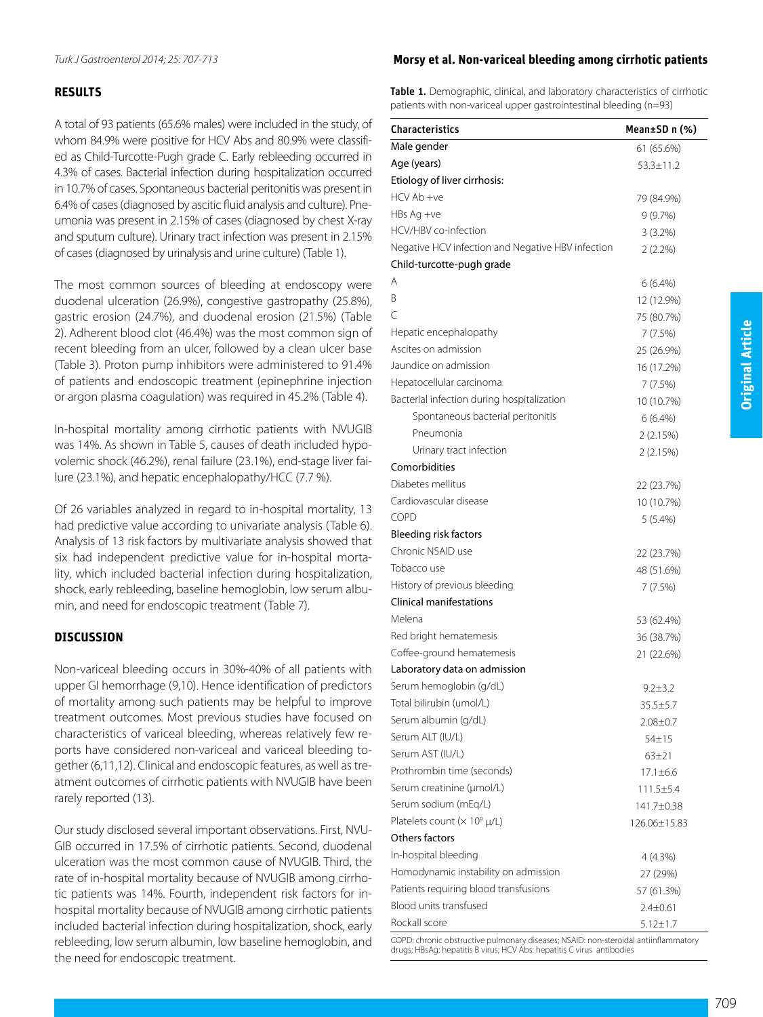## **RESULTS**

A total of 93 patients (65.6% males) were included in the study, of whom 84.9% were positive for HCV Abs and 80.9% were classified as Child-Turcotte-Pugh grade C. Early rebleeding occurred in 4.3% of cases. Bacterial infection during hospitalization occurred in 10.7% of cases. Spontaneous bacterial peritonitis was present in 6.4% of cases (diagnosed by ascitic fluid analysis and culture). Pneumonia was present in 2.15% of cases (diagnosed by chest X-ray and sputum culture). Urinary tract infection was present in 2.15% of cases (diagnosed by urinalysis and urine culture) (Table 1).

The most common sources of bleeding at endoscopy were duodenal ulceration (26.9%), congestive gastropathy (25.8%), gastric erosion (24.7%), and duodenal erosion (21.5%) (Table 2). Adherent blood clot (46.4%) was the most common sign of recent bleeding from an ulcer, followed by a clean ulcer base (Table 3). Proton pump inhibitors were administered to 91.4% of patients and endoscopic treatment (epinephrine injection or argon plasma coagulation) was required in 45.2% (Table 4).

In-hospital mortality among cirrhotic patients with NVUGIB was 14%. As shown in Table 5, causes of death included hypovolemic shock (46.2%), renal failure (23.1%), end-stage liver failure (23.1%), and hepatic encephalopathy/HCC (7.7 %).

Of 26 variables analyzed in regard to in-hospital mortality, 13 had predictive value according to univariate analysis (Table 6). Analysis of 13 risk factors by multivariate analysis showed that six had independent predictive value for in-hospital mortality, which included bacterial infection during hospitalization, shock, early rebleeding, baseline hemoglobin, low serum albumin, and need for endoscopic treatment (Table 7).

## **DISCUSSION**

Non-variceal bleeding occurs in 30%-40% of all patients with upper GI hemorrhage (9,10). Hence identification of predictors of mortality among such patients may be helpful to improve treatment outcomes. Most previous studies have focused on characteristics of variceal bleeding, whereas relatively few reports have considered non-variceal and variceal bleeding together (6,11,12). Clinical and endoscopic features, as well as treatment outcomes of cirrhotic patients with NVUGIB have been rarely reported (13).

Our study disclosed several important observations. First, NVU-GIB occurred in 17.5% of cirrhotic patients. Second, duodenal ulceration was the most common cause of NVUGIB. Third, the rate of in-hospital mortality because of NVUGIB among cirrhotic patients was 14%. Fourth, independent risk factors for inhospital mortality because of NVUGIB among cirrhotic patients included bacterial infection during hospitalization, shock, early rebleeding, low serum albumin, low baseline hemoglobin, and the need for endoscopic treatment.

## *Turk J Gastroenterol 2014; 25: 707-713* **Morsy et al. Non-variceal bleeding among cirrhotic patients**

Table 1. Demographic, clinical, and laboratory characteristics of cirrhotic patients with non-variceal upper gastrointestinal bleeding (n=93)

| <b>Characteristics</b>                            | Mean±SD n (%)   |
|---------------------------------------------------|-----------------|
| Male gender                                       | 61 (65.6%)      |
| Age (years)                                       | $53.3 \pm 11.2$ |
| Etiology of liver cirrhosis:                      |                 |
| HCV Ab +ve                                        | 79 (84.9%)      |
| $HBs$ Ag +ve                                      | 9 (9.7%)        |
| HCV/HBV co-infection                              | $3(3.2\%)$      |
| Negative HCV infection and Negative HBV infection | $2(2.2\%)$      |
| Child-turcotte-pugh grade                         |                 |
| Α                                                 | $6(6.4\%)$      |
| B                                                 | 12 (12.9%)      |
| Ċ                                                 | 75 (80.7%)      |
| Hepatic encephalopathy                            | 7 (7.5%)        |
| Ascites on admission                              | 25 (26.9%)      |
| Jaundice on admission                             | 16 (17.2%)      |
| Hepatocellular carcinoma                          | 7 (7.5%)        |
| Bacterial infection during hospitalization        | 10 (10.7%)      |
| Spontaneous bacterial peritonitis                 | $6(6.4\%)$      |
| Pneumonia                                         | 2(2.15%)        |
| Urinary tract infection                           | 2 (2.15%)       |
| Comorbidities                                     |                 |
| Diabetes mellitus                                 | 22 (23.7%)      |
| Cardiovascular disease                            | 10 (10.7%)      |
| <b>COPD</b>                                       | 5 (5.4%)        |
| Bleeding risk factors                             |                 |
| Chronic NSAID use                                 | 22 (23.7%)      |
| Tobacco use                                       | 48 (51.6%)      |
| History of previous bleeding                      | 7(7.5%)         |
| <b>Clinical manifestations</b>                    |                 |
| Melena                                            | 53 (62.4%)      |
| Red bright hematemesis                            | 36 (38.7%)      |
| Coffee-ground hematemesis                         | 21 (22.6%)      |
| Laboratory data on admission                      |                 |
| Serum hemoglobin (g/dL)                           | $9.2 \pm 3.2$   |
| Total bilirubin (umol/L)                          | 35.5±5.7        |
| Serum albumin (g/dL)                              | $2.08 \pm 0.7$  |
| Serum ALT (IU/L)                                  | $54 + 15$       |
| Serum AST (IU/L)                                  | $63 + 21$       |
| Prothrombin time (seconds)                        | $17.1 \pm 6.6$  |
| Serum creatinine (µmol/L)                         | $111.5 \pm 5.4$ |
| Serum sodium (mEq/L)                              | 141.7±0.38      |
| Platelets count $(x 10^9 \mu/L)$                  | 126.06±15.83    |
| Others factors                                    |                 |
| In-hospital bleeding                              | 4 (4.3%)        |
| Homodynamic instability on admission              | 27 (29%)        |
| Patients requiring blood transfusions             | 57 (61.3%)      |
| Blood units transfused                            | $2.4 \pm 0.61$  |
| Rockall score                                     | $5.12 \pm 1.7$  |

COPD: chronic obstructive pulmonary diseases; NSAID: non-steroidal antiinflammatory drugs; HBsAg: hepatitis B virus; HCV Abs: hepatitis C virus antibodies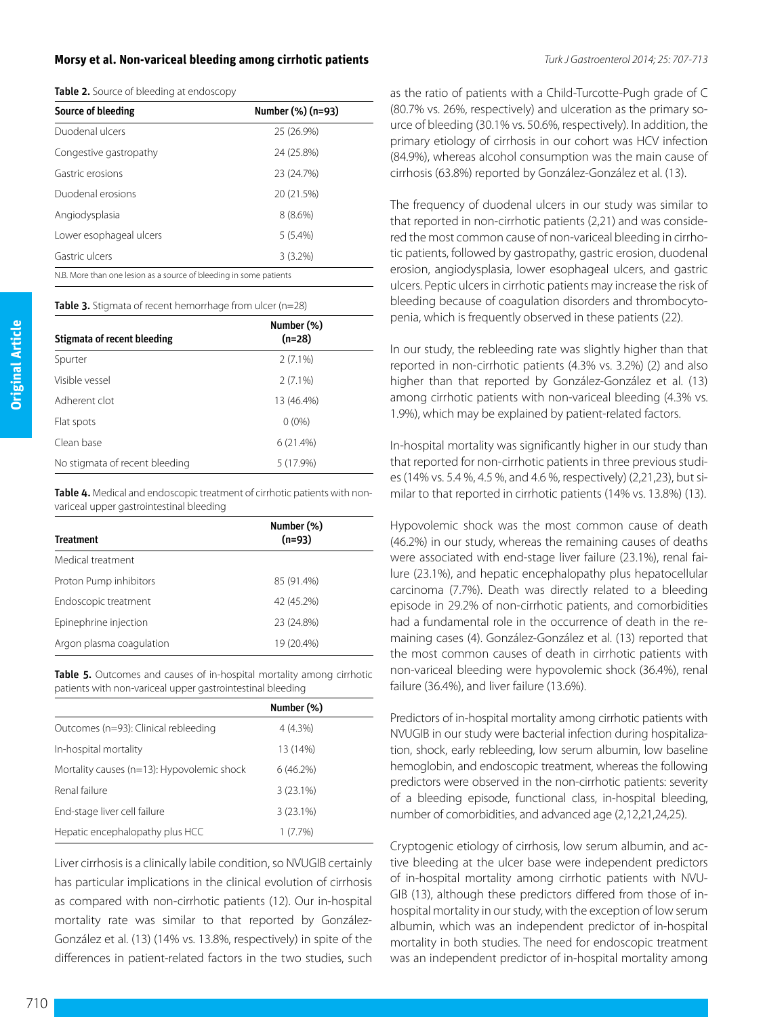#### **Morsy et al. Non-variceal bleeding among cirrhotic patients** *Turk J Gastroenterol 2014; 25: 707-713*

| Source of bleeding                                                 | Number (%) (n=93) |  |  |  |
|--------------------------------------------------------------------|-------------------|--|--|--|
| Duodenal ulcers                                                    | 25 (26.9%)        |  |  |  |
| Congestive gastropathy                                             | 24 (25.8%)        |  |  |  |
| Gastric erosions                                                   | 23 (24.7%)        |  |  |  |
| Duodenal erosions                                                  | 20 (21.5%)        |  |  |  |
| Angiodysplasia                                                     | $8(8.6\%)$        |  |  |  |
| Lower esophageal ulcers                                            | $5(5.4\%)$        |  |  |  |
| Gastric ulcers                                                     | $3(3.2\%)$        |  |  |  |
| N.B. More than one lesion as a source of bleeding in some patients |                   |  |  |  |

Table 3. Stigmata of recent hemorrhage from ulcer (n=28)

| Stigmata of recent bleeding    | Number (%)<br>$(n=28)$ |  |
|--------------------------------|------------------------|--|
| Spurter                        | $2(7.1\%)$             |  |
| Visible vessel                 | $2(7.1\%)$             |  |
| Adherent clot                  | 13 (46.4%)             |  |
| Flat spots                     | $0(0\%)$               |  |
| Clean base                     | 6(21.4%)               |  |
| No stigmata of recent bleeding | 5 (17.9%)              |  |

Table 4. Medical and endoscopic treatment of cirrhotic patients with nonvariceal upper gastrointestinal bleeding

| <b>Treatment</b>         | Number (%)<br>$(n=93)$ |
|--------------------------|------------------------|
| Medical treatment        |                        |
| Proton Pump inhibitors   | 85 (91.4%)             |
| Endoscopic treatment     | 42 (45.2%)             |
| Epinephrine injection    | 23 (24.8%)             |
| Argon plasma coagulation | 19 (20.4%)             |

Table 5. Outcomes and causes of in-hospital mortality among cirrhotic patients with non-variceal upper gastrointestinal bleeding

|                                            | Number (%)  |  |
|--------------------------------------------|-------------|--|
| Outcomes (n=93): Clinical rebleeding       | $4(4.3\%)$  |  |
| In-hospital mortality                      | 13 (14%)    |  |
| Mortality causes (n=13): Hypovolemic shock | $6(46.2\%)$ |  |
| Renal failure                              | $3(23.1\%)$ |  |
| End-stage liver cell failure               | $3(23.1\%)$ |  |
| Hepatic encephalopathy plus HCC            | 1(7.7%)     |  |

Liver cirrhosis is a clinically labile condition, so NVUGIB certainly has particular implications in the clinical evolution of cirrhosis as compared with non-cirrhotic patients (12). Our in-hospital mortality rate was similar to that reported by González-González et al. (13) (14% vs. 13.8%, respectively) in spite of the differences in patient-related factors in the two studies, such

as the ratio of patients with a Child-Turcotte-Pugh grade of C (80.7% vs. 26%, respectively) and ulceration as the primary source of bleeding (30.1% vs. 50.6%, respectively). In addition, the primary etiology of cirrhosis in our cohort was HCV infection (84.9%), whereas alcohol consumption was the main cause of cirrhosis (63.8%) reported by González-González et al. (13).

The frequency of duodenal ulcers in our study was similar to that reported in non-cirrhotic patients (2,21) and was considered the most common cause of non-variceal bleeding in cirrhotic patients, followed by gastropathy, gastric erosion, duodenal erosion, angiodysplasia, lower esophageal ulcers, and gastric ulcers. Peptic ulcers in cirrhotic patients may increase the risk of bleeding because of coagulation disorders and thrombocytopenia, which is frequently observed in these patients (22).

In our study, the rebleeding rate was slightly higher than that reported in non-cirrhotic patients (4.3% vs. 3.2%) (2) and also higher than that reported by González-González et al. (13) among cirrhotic patients with non-variceal bleeding (4.3% vs. 1.9%), which may be explained by patient-related factors.

In-hospital mortality was significantly higher in our study than that reported for non-cirrhotic patients in three previous studies (14% vs. 5.4 %, 4.5 %, and 4.6 %, respectively) (2,21,23), but similar to that reported in cirrhotic patients (14% vs. 13.8%) (13).

Hypovolemic shock was the most common cause of death (46.2%) in our study, whereas the remaining causes of deaths were associated with end-stage liver failure (23.1%), renal failure (23.1%), and hepatic encephalopathy plus hepatocellular carcinoma (7.7%). Death was directly related to a bleeding episode in 29.2% of non-cirrhotic patients, and comorbidities had a fundamental role in the occurrence of death in the remaining cases (4). González-González et al. (13) reported that the most common causes of death in cirrhotic patients with non-variceal bleeding were hypovolemic shock (36.4%), renal failure (36.4%), and liver failure (13.6%).

Predictors of in-hospital mortality among cirrhotic patients with NVUGIB in our study were bacterial infection during hospitalization, shock, early rebleeding, low serum albumin, low baseline hemoglobin, and endoscopic treatment, whereas the following predictors were observed in the non-cirrhotic patients: severity of a bleeding episode, functional class, in-hospital bleeding, number of comorbidities, and advanced age (2,12,21,24,25).

Cryptogenic etiology of cirrhosis, low serum albumin, and active bleeding at the ulcer base were independent predictors of in-hospital mortality among cirrhotic patients with NVU-GIB (13), although these predictors differed from those of inhospital mortality in our study, with the exception of low serum albumin, which was an independent predictor of in-hospital mortality in both studies. The need for endoscopic treatment was an independent predictor of in-hospital mortality among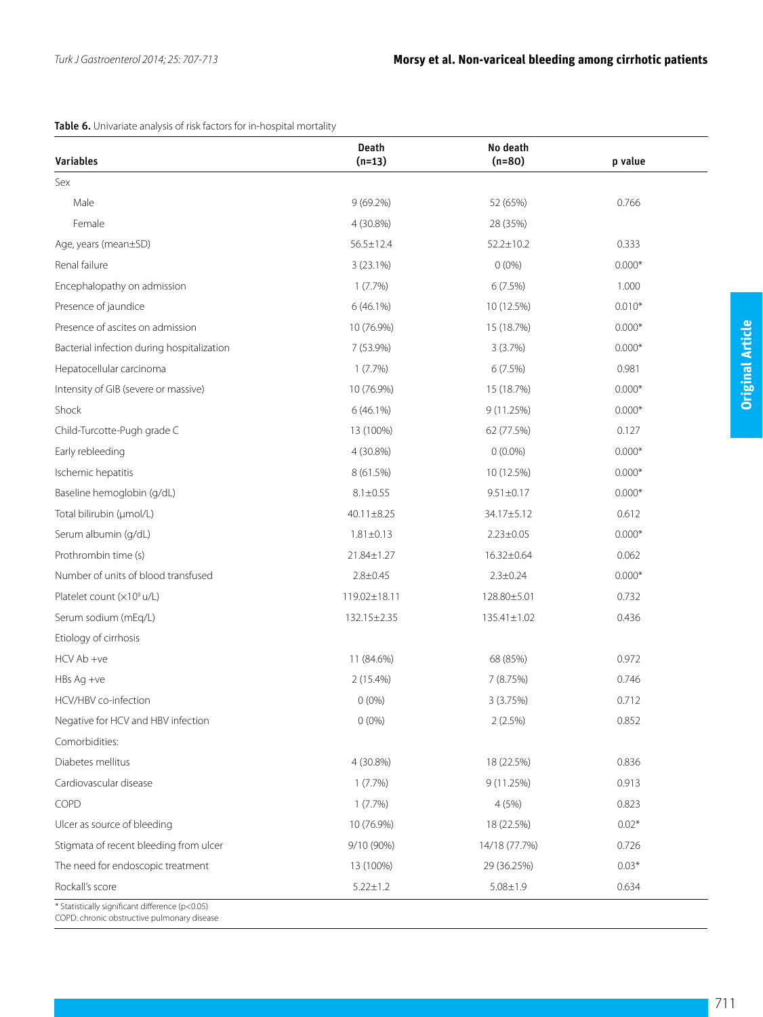## Table 6. Univariate analysis of risk factors for in-hospital mortality

| Variables                                  | <b>Death</b><br>$(n=13)$ | No death<br>$(n=80)$ | p value  |
|--------------------------------------------|--------------------------|----------------------|----------|
| Sex                                        |                          |                      |          |
| Male                                       | $9(69.2\%)$              | 52 (65%)             | 0.766    |
| Female                                     | 4 (30.8%)                | 28 (35%)             |          |
| Age, years (mean±SD)                       | $56.5 \pm 12.4$          | $52.2 \pm 10.2$      | 0.333    |
| Renal failure                              | 3(23.1%)                 | $0(0\%)$             | $0.000*$ |
| Encephalopathy on admission                | 1(7.7%)                  | 6(7.5%)              | 1.000    |
| Presence of jaundice                       | $6(46.1\%)$              | 10 (12.5%)           | $0.010*$ |
| Presence of ascites on admission           | 10 (76.9%)               | 15 (18.7%)           | $0.000*$ |
| Bacterial infection during hospitalization | 7 (53.9%)                | 3(3.7%)              | $0.000*$ |
| Hepatocellular carcinoma                   | $1(7.7\%)$               | 6(7.5%)              | 0.981    |
| Intensity of GIB (severe or massive)       | 10 (76.9%)               | 15 (18.7%)           | $0.000*$ |
| Shock                                      | $6(46.1\%)$              | 9(11.25%)            | $0.000*$ |
| Child-Turcotte-Pugh grade C                | 13 (100%)                | 62 (77.5%)           | 0.127    |
| Early rebleeding                           | 4 (30.8%)                | $0(0.0\%)$           | $0.000*$ |
| Ischemic hepatitis                         | 8 (61.5%)                | 10 (12.5%)           | $0.000*$ |
| Baseline hemoglobin (g/dL)                 | $8.1 \pm 0.55$           | $9.51 \pm 0.17$      | $0.000*$ |
| Total bilirubin (µmol/L)                   | 40.11±8.25               | 34.17±5.12           | 0.612    |
| Serum albumin (g/dL)                       | $1.81 \pm 0.13$          | $2.23 \pm 0.05$      | $0.000*$ |
| Prothrombin time (s)                       | 21.84±1.27               | 16.32±0.64           | 0.062    |
| Number of units of blood transfused        | $2.8 \pm 0.45$           | $2.3 \pm 0.24$       | $0.000*$ |
| Platelet count (x10° u/L)                  | 119.02±18.11             | 128.80±5.01          | 0.732    |
| Serum sodium (mEq/L)                       | 132.15±2.35              | 135.41±1.02          | 0.436    |
| Etiology of cirrhosis                      |                          |                      |          |
| HCV Ab +ve                                 | 11 (84.6%)               | 68 (85%)             | 0.972    |
| $HBs$ Aq $+ve$                             | $2(15.4\%)$              | 7 (8.75%)            | 0.746    |
| HCV/HBV co-infection                       | 0(0%                     | 3 (3.75%)            | 0.712    |
| Negative for HCV and HBV infection         | $0(0\%)$                 | 2(2.5%)              | 0.852    |
| Comorbidities:                             |                          |                      |          |
| Diabetes mellitus                          | 4 (30.8%)                | 18 (22.5%)           | 0.836    |
| Cardiovascular disease                     | $1(7.7\%)$               | 9 (11.25%)           | 0.913    |
| COPD                                       | $1(7.7\%)$               | 4(5%)                | 0.823    |
| Ulcer as source of bleeding                | 10 (76.9%)               | 18 (22.5%)           | $0.02*$  |
| Stigmata of recent bleeding from ulcer     | 9/10 (90%)               | 14/18 (77.7%)        | 0.726    |
| The need for endoscopic treatment          | 13 (100%)                | 29 (36.25%)          | $0.03*$  |
| Rockall's score                            | $5.22 \pm 1.2$           | $5.08 \pm 1.9$       | 0.634    |

 $\overline{\phantom{a}}$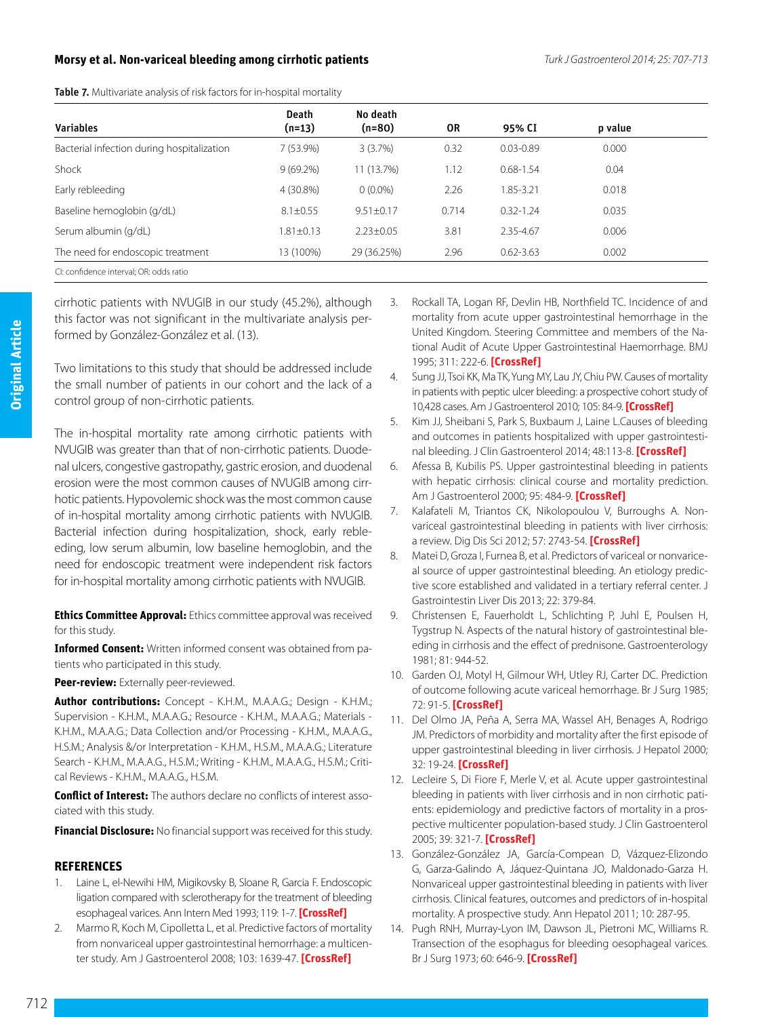## **Morsy et al. Non-variceal bleeding among cirrhotic patients** *Turk J Gastroenterol 2014; 25: 707-713*

|  |  |  |  |  |  |  | Table 7. Multivariate analysis of risk factors for in-hospital mortality |  |
|--|--|--|--|--|--|--|--------------------------------------------------------------------------|--|
|--|--|--|--|--|--|--|--------------------------------------------------------------------------|--|

|                                            | <b>Death</b>    | No death      |       |               |         |  |
|--------------------------------------------|-----------------|---------------|-------|---------------|---------|--|
| <b>Variables</b>                           | $(n=13)$        | $(n=80)$      | OR    | 95% CI        | p value |  |
| Bacterial infection during hospitalization | 7 (53.9%)       | 3(3.7%)       | 0.32  | $0.03 - 0.89$ | 0.000   |  |
| Shock                                      | $9(69.2\%)$     | 11 (13.7%)    | 1.12  | $0.68 - 1.54$ | 0.04    |  |
| Early rebleeding                           | 4 (30.8%)       | $0(0.0\%)$    | 2.26  | 1.85-3.21     | 0.018   |  |
| Baseline hemoglobin (g/dL)                 | $8.1 \pm 0.55$  | $9.51 + 0.17$ | 0.714 | $0.32 - 1.24$ | 0.035   |  |
| Serum albumin (g/dL)                       | $1.81 \pm 0.13$ | $2.23 + 0.05$ | 3.81  | 2.35-4.67     | 0.006   |  |
| The need for endoscopic treatment          | 13 (100%)       | 29 (36.25%)   | 2.96  | $0.62 - 3.63$ | 0.002   |  |
| CI: confidence interval; OR: odds ratio    |                 |               |       |               |         |  |

cirrhotic patients with NVUGIB in our study (45.2%), although this factor was not significant in the multivariate analysis performed by González-González et al. (13).

Two limitations to this study that should be addressed include the small number of patients in our cohort and the lack of a control group of non-cirrhotic patients.

The in-hospital mortality rate among cirrhotic patients with NVUGIB was greater than that of non-cirrhotic patients. Duodenal ulcers, congestive gastropathy, gastric erosion, and duodenal erosion were the most common causes of NVUGIB among cirrhotic patients. Hypovolemic shock was the most common cause of in-hospital mortality among cirrhotic patients with NVUGIB. Bacterial infection during hospitalization, shock, early rebleeding, low serum albumin, low baseline hemoglobin, and the need for endoscopic treatment were independent risk factors for in-hospital mortality among cirrhotic patients with NVUGIB.

**Ethics Committee Approval:** Ethics committee approval was received for this study.

**Informed Consent:** Written informed consent was obtained from patients who participated in this study.

#### **Peer-review:** Externally peer-reviewed.

**Author contributions:** Concept - K.H.M., M.A.A.G.; Design - K.H.M.; Supervision - K.H.M., M.A.A.G.; Resource - K.H.M., M.A.A.G.; Materials - K.H.M., M.A.A.G.; Data Collection and/or Processing - K.H.M., M.A.A.G., H.S.M.; Analysis &/or Interpretation - K.H.M., H.S.M., M.A.A.G.; Literature Search - K.H.M., M.A.A.G., H.S.M.; Writing - K.H.M., M.A.A.G., H.S.M.; Critical Reviews - K.H.M., M.A.A.G., H.S.M.

**Conflict of Interest:** The authors declare no conflicts of interest associated with this study.

**Financial Disclosure:** No financial support was received for this study.

#### **REFERENCES**

- 1. Laine L, el-Newihi HM, Migikovsky B, Sloane R, Garcia F. Endoscopic ligation compared with sclerotherapy for the treatment of bleeding esophageal varices. Ann Intern Med 1993; 119: 1-7. **[\[CrossRef](http://dx.doi.org/10.7326/0003-4819-119-1-199307010-00001)]**
- 2. Marmo R, Koch M, Cipolletta L, et al. Predictive factors of mortality from nonvariceal upper gastrointestinal hemorrhage: a multicenter study. Am J Gastroenterol 2008; 103: 1639-47. **[[CrossRef](http://dx.doi.org/10.1111/j.1572-0241.2008.01865.x)]**
- 3. Rockall TA, Logan RF, Devlin HB, Northfield TC. Incidence of and mortality from acute upper gastrointestinal hemorrhage in the United Kingdom. Steering Committee and members of the National Audit of Acute Upper Gastrointestinal Haemorrhage. BMJ 1995; 311: 222-6. **[\[CrossRef\]](http://dx.doi.org/10.1136/bmj.311.6999.222)**
- 4. Sung JJ, Tsoi KK, Ma TK, Yung MY, Lau JY, Chiu PW. Causes of mortality in patients with peptic ulcer bleeding: a prospective cohort study of 10,428 cases. Am J Gastroenterol 2010; 105: 84-9. **[\[CrossRef](http://dx.doi.org/10.1038/ajg.2009.507)]**
- 5. [Kim JJ,](http://www.ncbi.nlm.nih.gov/pubmed?term=Kim%20JJ%5BAuthor%5D&cauthor=true&cauthor_uid=23685847) [Sheibani S](http://www.ncbi.nlm.nih.gov/pubmed?term=Sheibani%20S%5BAuthor%5D&cauthor=true&cauthor_uid=23685847), [Park S](http://www.ncbi.nlm.nih.gov/pubmed?term=Park%20S%5BAuthor%5D&cauthor=true&cauthor_uid=23685847), [Buxbaum J](http://www.ncbi.nlm.nih.gov/pubmed?term=Buxbaum%20J%5BAuthor%5D&cauthor=true&cauthor_uid=23685847), [Laine L.](http://www.ncbi.nlm.nih.gov/pubmed?term=Laine%20L%5BAuthor%5D&cauthor=true&cauthor_uid=23685847)Causes of bleeding and outcomes in patients hospitalized with upper gastrointestinal bleeding. [J Clin Gastroenterol](http://www.ncbi.nlm.nih.gov/pubmed/23685847) 2014; 48:113-8. **[[CrossRef](http://dx.doi.org/10.1097/MCG.0b013e318297fb40)]**
- 6. Afessa B, Kubilis PS. Upper gastrointestinal bleeding in patients with hepatic cirrhosis: clinical course and mortality prediction. Am J Gastroenterol 2000; 95: 484-9. **[\[CrossRef\]](http://dx.doi.org/10.1111/j.1572-0241.2000.01772.x)**
- 7. [Kalafateli M](http://www.ncbi.nlm.nih.gov/pubmed?term=Kalafateli%20M%5BAuthor%5D&cauthor=true&cauthor_uid=22661272), [Triantos CK,](http://www.ncbi.nlm.nih.gov/pubmed?term=Triantos%20CK%5BAuthor%5D&cauthor=true&cauthor_uid=22661272) [Nikolopoulou V](http://www.ncbi.nlm.nih.gov/pubmed?term=Nikolopoulou%20V%5BAuthor%5D&cauthor=true&cauthor_uid=22661272), [Burroughs A.](http://www.ncbi.nlm.nih.gov/pubmed?term=Burroughs%20A%5BAuthor%5D&cauthor=true&cauthor_uid=22661272) Nonvariceal gastrointestinal bleeding in patients with liver cirrhosis: a review. Dig Dis Sci 2012; 57: 2743-54. **[\[CrossRef\]](http://dx.doi.org/10.1007/s10620-012-2229-x)**
- 8. [Matei D,](http://www.ncbi.nlm.nih.gov/pubmed?term=Matei%20D%5BAuthor%5D&cauthor=true&cauthor_uid=24369318) [Groza I](http://www.ncbi.nlm.nih.gov/pubmed?term=Groza%20I%5BAuthor%5D&cauthor=true&cauthor_uid=24369318), [Furnea B,](http://www.ncbi.nlm.nih.gov/pubmed?term=Furnea%20B%5BAuthor%5D&cauthor=true&cauthor_uid=24369318) et al. Predictors of variceal or nonvariceal source of upper gastrointestinal bleeding. An etiology predictive score established and validated in a tertiary referral center. [J](http://www.ncbi.nlm.nih.gov/pubmed/24369318)  [Gastrointestin Liver Dis](http://www.ncbi.nlm.nih.gov/pubmed/24369318) 2013; 22: 379-84.
- 9. Christensen E, Fauerholdt L, Schlichting P, Juhl E, Poulsen H, Tygstrup N. Aspects of the natural history of gastrointestinal bleeding in cirrhosis and the effect of prednisone. Gastroenterology 1981; 81: 944-52.
- 10. Garden OJ, Motyl H, Gilmour WH, Utley RJ, Carter DC. Prediction of outcome following acute variceal hemorrhage. Br J Surg 1985; 72: 91-5. **[\[CrossRef\]](http://dx.doi.org/10.1002/bjs.1800720205)**
- 11. Del Olmo JA, Peña A, Serra MA, Wassel AH, Benages A, Rodrigo JM. Predictors of morbidity and mortality after the first episode of upper gastrointestinal bleeding in liver cirrhosis. J Hepatol 2000; 32: 19-24. **[[CrossRef](http://dx.doi.org/10.1016/S0168-8278(01)68827-5)]**
- 12. Lecleire S, Di Fiore F, Merle V, et al. Acute upper gastrointestinal bleeding in patients with liver cirrhosis and in non cirrhotic patients: epidemiology and predictive factors of mortality in a prospective multicenter population-based study. J Clin Gastroenterol 2005; 39: 321-7. **[[CrossRef](http://dx.doi.org/10.1097/01.mcg.0000155133.50562.c9)]**
- 13. González-González JA, García-Compean D, Vázquez-Elizondo G, Garza-Galindo A, Jáquez-Quintana JO, Maldonado-Garza H. Nonvariceal upper gastrointestinal bleeding in patients with liver cirrhosis. Clinical features, outcomes and predictors of in-hospital mortality. A prospective study. Ann Hepatol 2011; 10: 287-95.
- 14. Pugh RNH, Murray-Lyon IM, Dawson JL, Pietroni MC, Williams R. Transection of the esophagus for bleeding oesophageal varices. Br J Surg 1973; 60: 646-9. **[\[CrossRef\]](http://dx.doi.org/10.1002/bjs.1800600817)**